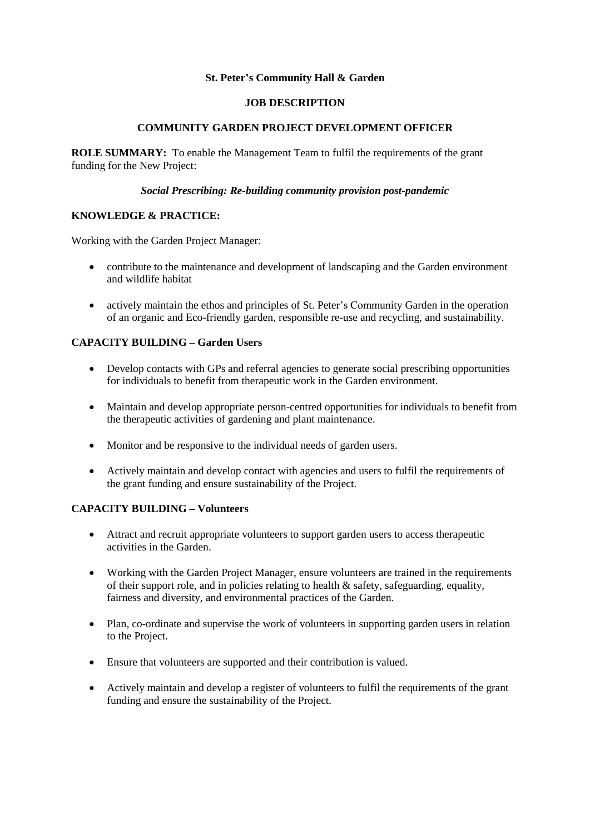### **St. Peter's Community Hall & Garden**

#### **JOB DESCRIPTION**

### **COMMUNITY GARDEN PROJECT DEVELOPMENT OFFICER**

**ROLE SUMMARY:** To enable the Management Team to fulfil the requirements of the grant funding for the New Project:

#### *Social Prescribing: Re-building community provision post-pandemic*

### **KNOWLEDGE & PRACTICE:**

Working with the Garden Project Manager:

- contribute to the maintenance and development of landscaping and the Garden environment and wildlife habitat
- actively maintain the ethos and principles of St. Peter's Community Garden in the operation of an organic and Eco-friendly garden, responsible re-use and recycling, and sustainability.

## **CAPACITY BUILDING – Garden Users**

- Develop contacts with GPs and referral agencies to generate social prescribing opportunities for individuals to benefit from therapeutic work in the Garden environment.
- Maintain and develop appropriate person-centred opportunities for individuals to benefit from the therapeutic activities of gardening and plant maintenance.
- Monitor and be responsive to the individual needs of garden users.
- Actively maintain and develop contact with agencies and users to fulfil the requirements of the grant funding and ensure sustainability of the Project.

#### **CAPACITY BUILDING – Volunteers**

- Attract and recruit appropriate volunteers to support garden users to access therapeutic activities in the Garden.
- Working with the Garden Project Manager, ensure volunteers are trained in the requirements of their support role, and in policies relating to health  $\&$  safety, safeguarding, equality, fairness and diversity, and environmental practices of the Garden.
- Plan, co-ordinate and supervise the work of volunteers in supporting garden users in relation to the Project.
- Ensure that volunteers are supported and their contribution is valued.
- Actively maintain and develop a register of volunteers to fulfil the requirements of the grant funding and ensure the sustainability of the Project.